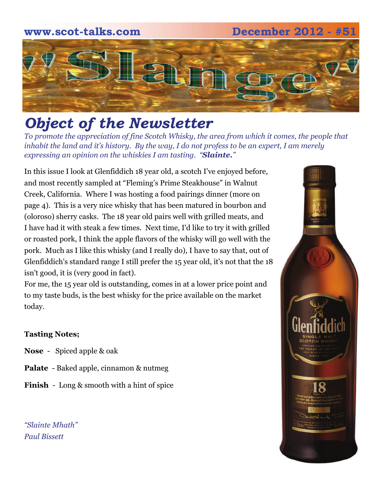# **www.scot-talks.com December 2012 - #51**



# *Object of the Newsletter*

*To promote the appreciation of fine Scotch Whisky, the area from which it comes, the people that inhabit the land and it's history. By the way, I do not profess to be an expert, I am merely expressing an opinion on the whiskies I am tasting. "Slainte."* 

In this issue I look at Glenfiddich 18 year old, a scotch I've enjoyed before, and most recently sampled at "Fleming's Prime Steakhouse" in Walnut Creek, California. Where I was hosting a food pairings dinner (more on page 4). This is a very nice whisky that has been matured in bourbon and (oloroso) sherry casks. The 18 year old pairs well with grilled meats, and I have had it with steak a few times. Next time, I'd like to try it with grilled or roasted pork, I think the apple flavors of the whisky will go well with the pork. Much as I like this whisky (and I really do), I have to say that, out of Glenfiddich's standard range I still prefer the 15 year old, it's not that the 18 isn't good, it is (very good in fact).

For me, the 15 year old is outstanding, comes in at a lower price point and to my taste buds, is the best whisky for the price available on the market today.

# **Tasting Notes;**

- **Nose**  Spiced apple & oak
- **Palate**  Baked apple, cinnamon & nutmeg
- **Finish**  Long & smooth with a hint of spice

*"Slainte Mhath" Paul Bissett*

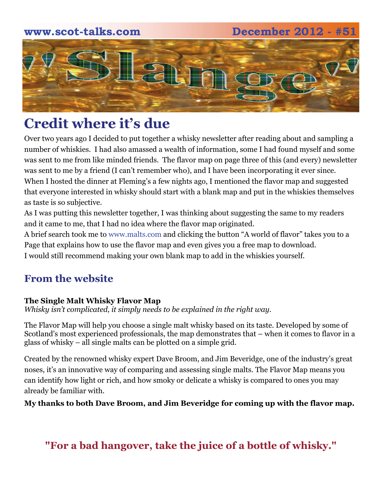# **www.scot-talks.com December 2012 - #51** 21

# **Credit where it's due**

Over two years ago I decided to put together a whisky newsletter after reading about and sampling a number of whiskies. I had also amassed a wealth of information, some I had found myself and some was sent to me from like minded friends. The flavor map on page three of this (and every) newsletter was sent to me by a friend (I can't remember who), and I have been incorporating it ever since. When I hosted the dinner at Fleming's a few nights ago, I mentioned the flavor map and suggested that everyone interested in whisky should start with a blank map and put in the whiskies themselves as taste is so subjective.

As I was putting this newsletter together, I was thinking about suggesting the same to my readers and it came to me, that I had no idea where the flavor map originated.

A brief search took me to www.malts.com and clicking the button "A world of flavor" takes you to a Page that explains how to use the flavor map and even gives you a free map to download. I would still recommend making your own blank map to add in the whiskies yourself.

# **From the website**

# **The Single Malt Whisky Flavor Map**

*Whisky isn't complicated, it simply needs to be explained in the right way.* 

The Flavor Map will help you choose a single malt whisky based on its taste. Developed by some of Scotland's most experienced professionals, the map demonstrates that – when it comes to flavor in a glass of whisky – all single malts can be plotted on a simple grid.

Created by the renowned whisky expert Dave Broom, and Jim Beveridge, one of the industry's great noses, it's an innovative way of comparing and assessing single malts. The Flavor Map means you can identify how light or rich, and how smoky or delicate a whisky is compared to ones you may already be familiar with.

**My thanks to both Dave Broom, and Jim Beveridge for coming up with the flavor map.** 

**"For a bad hangover, take the juice of a bottle of whisky."**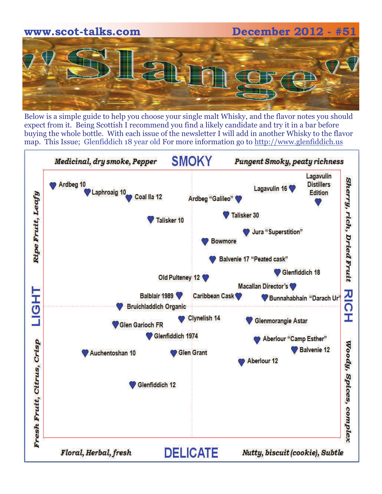

Below is a simple guide to help you choose your single malt Whisky, and the flavor notes you should expect from it. Being Scottish I recommend you find a likely candidate and try it in a bar before buying the whole bottle. With each issue of the newsletter I will add in another Whisky to the flavor map. This Issue; Glenfiddich 18 year old For more information go to [http://www.glenfiddich.us](http://www.glenfiddich.us/)